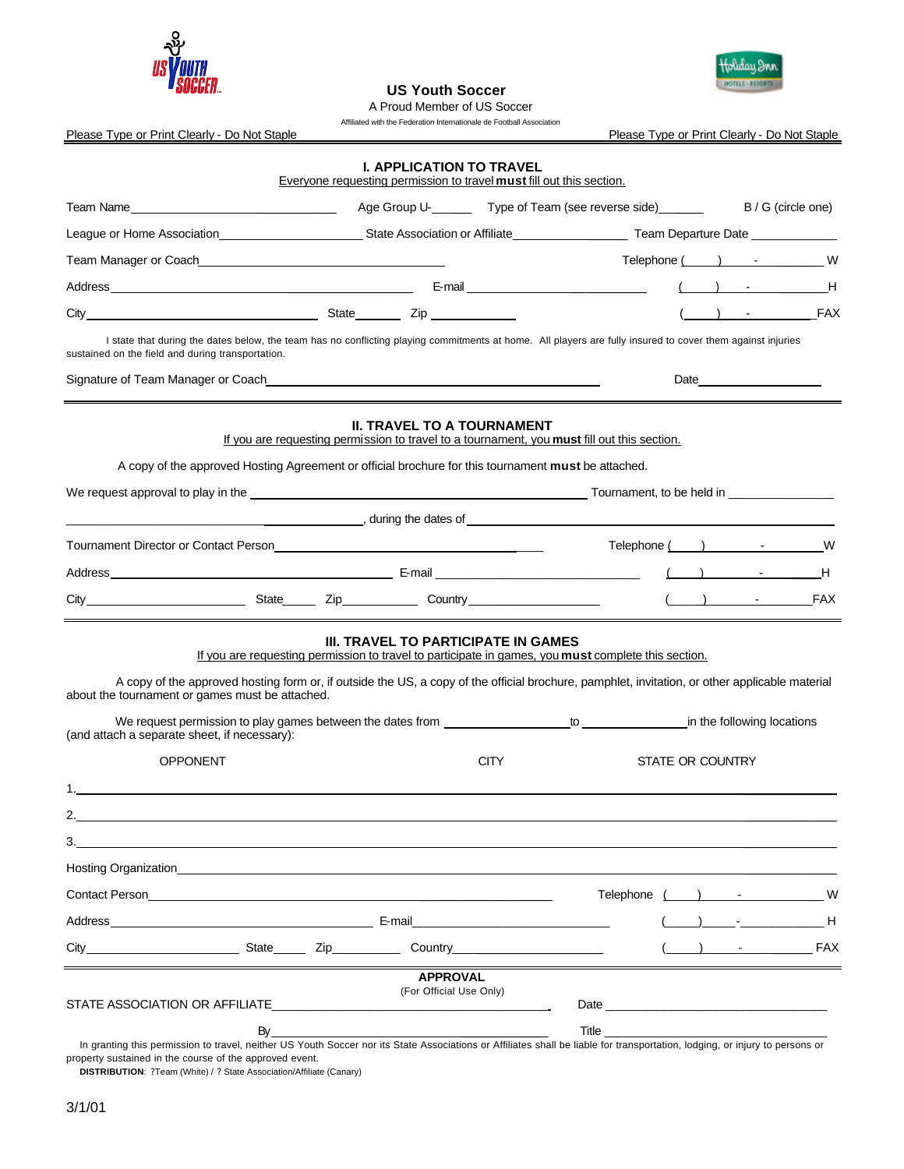

Holiday Inn HOTELS - 15101

 **US Youth Soccer** 

 A Proud Member of US Soccer Affiliated with the Federation Internationale de Football Association

Please Type or Print Clearly - Do Not Staple **Please Type or Print Clearly - Do Not Staple** 

|                                                                                                                                                                                                                                                 | <b>I. APPLICATION TO TRAVEL</b><br>Everyone requesting permission to travel must fill out this section.                                           |                                     |                                                                                                                                                                                                                                      |                    |   |
|-------------------------------------------------------------------------------------------------------------------------------------------------------------------------------------------------------------------------------------------------|---------------------------------------------------------------------------------------------------------------------------------------------------|-------------------------------------|--------------------------------------------------------------------------------------------------------------------------------------------------------------------------------------------------------------------------------------|--------------------|---|
| Team Name Samp Name Samp Name Samp Name Samp Name Samp Name Samp Name Samp Name Samp Name Samp Name Samp Name Samp Name Samp Name Samp Name Samp Name Samp Name Samp Name Samp Name Samp Name Samp Name Samp Name Samp Name Sa                  |                                                                                                                                                   |                                     |                                                                                                                                                                                                                                      |                    |   |
| League or Home Association <b>Material Contract Contract Contract Contract Contract Contract Contract Contract Contract Contract Contract Contract Contract Contract Contract Contract Contract Contract Contract Contract Contr</b>            |                                                                                                                                                   |                                     |                                                                                                                                                                                                                                      |                    |   |
| Team Manager or Coach entitled and the manufacturer of the manufacturer of the manufacturer of the manufacturer                                                                                                                                 |                                                                                                                                                   |                                     |                                                                                                                                                                                                                                      |                    |   |
|                                                                                                                                                                                                                                                 |                                                                                                                                                   |                                     |                                                                                                                                                                                                                                      |                    |   |
|                                                                                                                                                                                                                                                 |                                                                                                                                                   |                                     |                                                                                                                                                                                                                                      | - FAX              |   |
| I state that during the dates below, the team has no conflicting playing commitments at home. All players are fully insured to cover them against injuries<br>sustained on the field and during transportation.                                 |                                                                                                                                                   |                                     |                                                                                                                                                                                                                                      |                    |   |
| Signature of Team Manager or Coach and the control of the control of the control of the control of the control of the control of the control of the control of the control of the control of the control of the control of the                  |                                                                                                                                                   |                                     |                                                                                                                                                                                                                                      | Date $\frac{1}{2}$ |   |
| A copy of the approved Hosting Agreement or official brochure for this tournament <b>must</b> be attached.                                                                                                                                      | <b>II. TRAVEL TO A TOURNAMENT</b><br>If you are requesting permission to travel to a tournament, you must fill out this section.                  |                                     |                                                                                                                                                                                                                                      |                    |   |
| We request approval to play in the electronic contract of the contract of the contract of the contract of the contract of the contract of the contract of the contract of the contract of the contract of the contract of the                   |                                                                                                                                                   |                                     |                                                                                                                                                                                                                                      |                    |   |
| $\blacksquare$ , during the dates of $\blacksquare$                                                                                                                                                                                             |                                                                                                                                                   |                                     |                                                                                                                                                                                                                                      |                    |   |
| Tournament Director or Contact Person <b>Example 2018</b> 2019 12:00:00 Tournament Director or Contact Person                                                                                                                                   |                                                                                                                                                   |                                     | Telephone () Telephone ()                                                                                                                                                                                                            |                    |   |
|                                                                                                                                                                                                                                                 |                                                                                                                                                   |                                     |                                                                                                                                                                                                                                      |                    | H |
|                                                                                                                                                                                                                                                 |                                                                                                                                                   |                                     |                                                                                                                                                                                                                                      |                    |   |
| A copy of the approved hosting form or, if outside the US, a copy of the official brochure, pamphlet, invitation, or other applicable material<br>about the tournament or games must be attached.                                               | <b>III. TRAVEL TO PARTICIPATE IN GAMES</b><br>If you are requesting permission to travel to participate in games, you must complete this section. |                                     |                                                                                                                                                                                                                                      |                    |   |
| (and attach a separate sheet, if necessary):<br><b>OPPONENT</b>                                                                                                                                                                                 |                                                                                                                                                   | <b>CITY</b>                         | STATE OR COUNTRY                                                                                                                                                                                                                     |                    |   |
|                                                                                                                                                                                                                                                 |                                                                                                                                                   |                                     |                                                                                                                                                                                                                                      |                    |   |
| 2.                                                                                                                                                                                                                                              |                                                                                                                                                   |                                     |                                                                                                                                                                                                                                      |                    |   |
| 3.                                                                                                                                                                                                                                              |                                                                                                                                                   |                                     |                                                                                                                                                                                                                                      |                    |   |
| Hosting Organization <b>Example 2018</b> The Second Second Second Second Second Second Second Second Second Second Second Second Second Second Second Second Second Second Second Second Second Second Second Second Second Second              |                                                                                                                                                   |                                     |                                                                                                                                                                                                                                      |                    |   |
| Contact Person                                                                                                                                                                                                                                  |                                                                                                                                                   |                                     | Telephone                                                                                                                                                                                                                            |                    | W |
| <u>E-mail and the contract of the contract of the contract of the contract of the contract of the contract of the contract of the contract of the contract of the contract of the contract of the contract of the contract of th</u><br>Address |                                                                                                                                                   |                                     |                                                                                                                                                                                                                                      |                    |   |
| and a state of the state of the state of the state of the state of the state of the state of the state of the s<br>$City$ <sub>____</sub>                                                                                                       |                                                                                                                                                   | Country <u>____________________</u> |                                                                                                                                                                                                                                      | ) - FAX            |   |
| STATE ASSOCIATION OR AFFILIATE<br>By                                                                                                                                                                                                            | <b>APPROVAL</b><br>(For Official Use Only)                                                                                                        |                                     | Title <u>the contract of the contract of the contract of the contract of the contract of the contract of the contract of the contract of the contract of the contract of the contract of the contract of the contract of the con</u> |                    |   |

 In granting this permission to travel, neither US Youth Soccer nor its State Associations or Affiliates shall be liable for transportation, lodging, or injury to persons or property sustained in the course of the approved event.

 **DISTRIBUTION**: ?Team (White) / ? State Association/Affiliate (Canary)